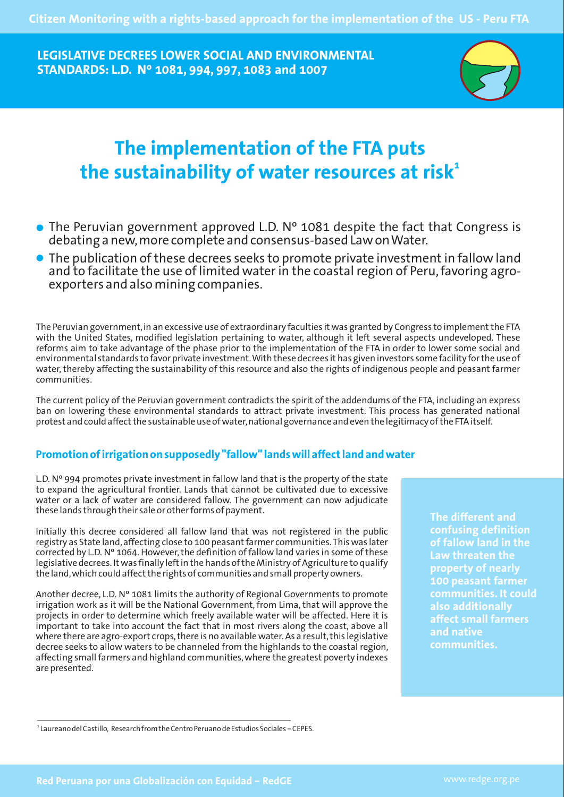**LEGISLATIVE DECREES LOWER SOCIAL AND ENVIRONMENTAL STANDARDS: L.D. Nº 1081, 994, 997, 1083 and 1007**



# **The implementation of the FTA puts 1 the sustainability of water resources at risk**

- The Peruvian government approved L.D. Nº 1081 despite the fact that Congress is debating a new,more complete and consensus-based Law on Water.
- The publication of these decrees seeks to promote private investment in fallow land and to facilitate the use of limited water in the coastal region of Peru,favoring agroexporters and also mining companies.

The Peruvian government,in an excessive use of extraordinary faculties it was granted by Congress to implement the FTA with the United States, modified legislation pertaining to water, although it left several aspects undeveloped. These reforms aim to take advantage of the phase prior to the implementation of the FTA in order to lower some social and environmental standards to favor private investment. With these decrees it has given investors some facility for the use of water, thereby affecting the sustainability of this resource and also the rights of indigenous people and peasant farmer communities.

The current policy of the Peruvian government contradicts the spirit of the addendums of the FTA, including an express ban on lowering these environmental standards to attract private investment. This process has generated national protest and could affectthe sustainable use of water,national governance and even the legitimacy of the FTA itself.

## Promotion of irrigation on supposedly "fallow" lands will affect land and water

L.D.  $N^{\circ}$  994 promotes private investment in fallow land that is the property of the state to expand the agricultural frontier. Lands that cannot be cultivated due to excessive water or a lack of water are considered fallow. The government can now adjudicate these lands through their sale or other forms of payment.

Initially this decree considered all fallow land that was not registered in the public registry as State land,affecting close to 100 peasant farmer communities. This was later corrected by L.D. Nº 1064. However, the definition of fallow land varies in some of these legislative decrees. It was finally left in the hands of the Ministry of Agriculture to qualify the land, which could affect the rights of communities and small property owners.

Another decree, L.D. Nº 1081 limits the authority of Regional Governments to promote irrigation work as it will be the National Government, from Lima, that will approve the projects in order to determine which freely available water will be affected. Here it is important to take into account the fact that in most rivers along the coast, above all where there are agro-export crops, there is no available water. As a result, this legislative decree seeks to allow waters to be channeled from the highlands to the coastal region, affecting small farmers and highland communities, where the greatest poverty indexes are presented.

**The different and confusing definition of fallow land in the Law threaten the property of nearly 100 peasant farmer communities. It could also additionally affect small farmers and native communities.**

<sup>1</sup> Laureano del Castillo, Research from the Centro Peruano de Estudios Sociales – CEPES.